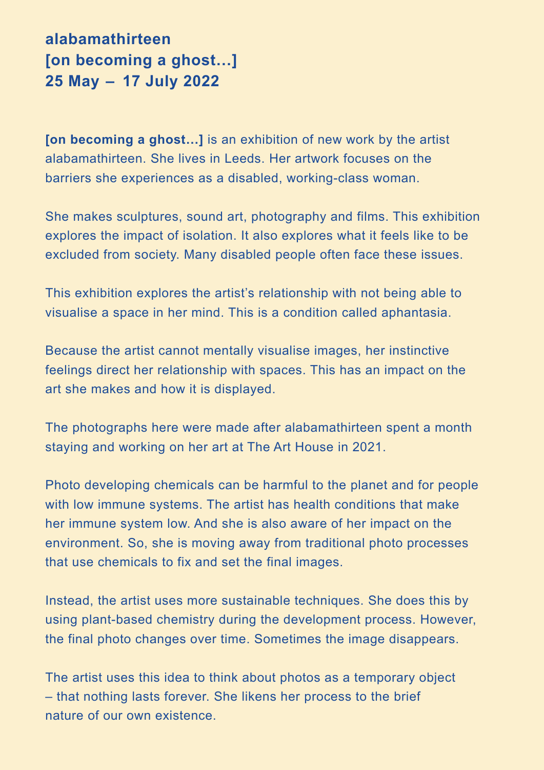**alabamathirteen [on becoming a ghost…] 25 May – 17 July 2022** 

**[on becoming a ghost…]** is an exhibition of new work by the artist alabamathirteen. She lives in Leeds. Her artwork focuses on the barriers she experiences as a disabled, working-class woman.

She makes sculptures, sound art, photography and films. This exhibition explores the impact of isolation. It also explores what it feels like to be excluded from society. Many disabled people often face these issues.

This exhibition explores the artist's relationship with not being able to visualise a space in her mind. This is a condition called aphantasia.

Because the artist cannot mentally visualise images, her instinctive feelings direct her relationship with spaces. This has an impact on the art she makes and how it is displayed.

The photographs here were made after alabamathirteen spent a month staying and working on her art at The Art House in 2021.

Photo developing chemicals can be harmful to the planet and for people with low immune systems. The artist has health conditions that make her immune system low. And she is also aware of her impact on the environment. So, she is moving away from traditional photo processes that use chemicals to fix and set the final images.

Instead, the artist uses more sustainable techniques. She does this by using plant-based chemistry during the development process. However, the final photo changes over time. Sometimes the image disappears.

The artist uses this idea to think about photos as a temporary object – that nothing lasts forever. She likens her process to the brief nature of our own existence.